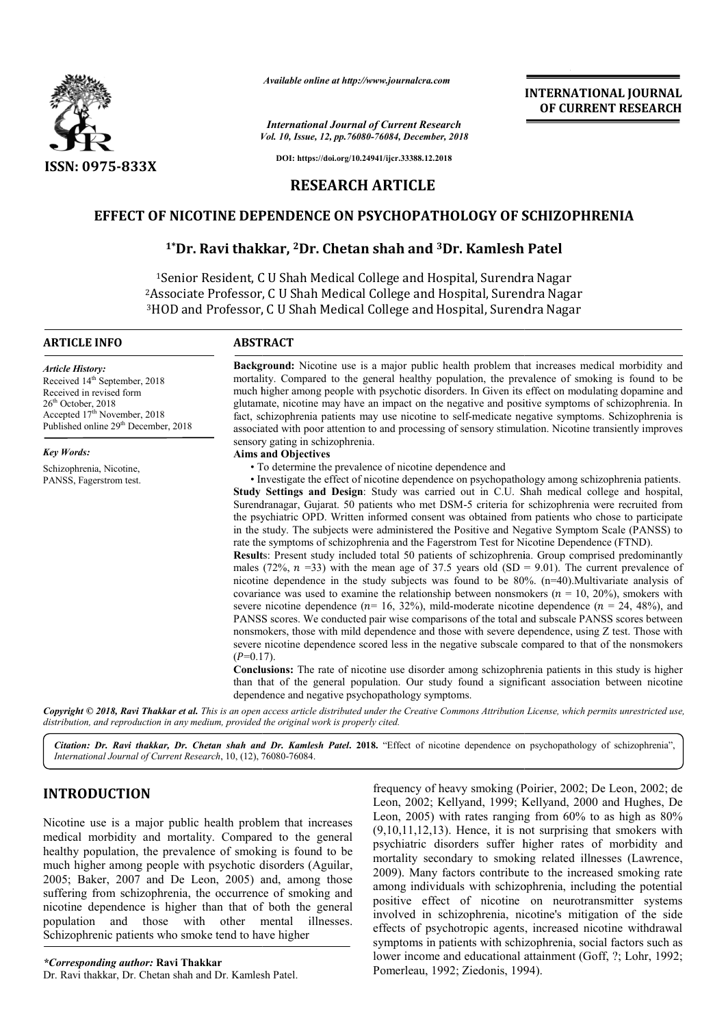

*Available online at http://www.journalcra.com*

*Vol. 10, Issue, 12, pp.76080-76084, December, 2018 International Journal of Current Research*

**INTERNATIONAL JOURNAL OF CURRENT RESEARCH**

**DOI: https://doi.org/10.24941/ijcr.33388.12.2018**

## **RESEARCH ARTICLE**

# **EFFECT OF NICOTINE DEPENDENCE ON PSYCHOPATHOLOGY OF SCHIZOPHRENIA**

# **1\*Dr. Ravi thakkar, 2Dr. Chetan shah and 3Dr. Kamlesh Patel**

<sup>1</sup>Senior Resident, C U Shah Medical College and Hospital, Surendra Nagar 2Associate Professor Professor, C U Shah Medical College and Hospital, Surendra Surendra Nagar 3HOD and Professor, C U Shah Medical College and Hospital, Surendra Nagar

#### **ARTICLE INFO ABSTRACT**

*Article History:* Received 14<sup>th</sup> September, 2018 Received in revised form  $26<sup>th</sup>$  October, 2018 Accepted 17<sup>th</sup> November, 2018 Published online 29<sup>th</sup> December, 2018

*Key Words:*

Schizophrenia, Nicotine, PANSS, Fagerstrom test. Background: Nicotine use is a major public health problem that increases medical morbidity and mortality. Compared to the general healthy population, the prevalence of smoking is found to be much higher among people with psychotic disorders. In Given its effect on modulating dopamine and glutamate, nicotine may have an impact on the negative and positive symptoms of schizophrenia. In fact, schizophrenia patients may use nicotine to self-medicate negative symptoms. Schizophrenia is associated with poor attention to and processing of sensory stimulation. Nicotine transiently improves sensory gating in schizophrenia.

#### **Aims and Objectives**

• To determine the prevalence of nicotine dependence and

• Investigate the effect of nicotine dependence on psychopathology among schizophrenia patients. Study Settings and Design: Study was carried out in C.U. Shah medical college and hospital, Surendranagar, Gujarat. 50 patients who met DSM-5 criteria for schizophrenia were recruited from the psychiatric OPD. Written informed consent was obtained from patients who chose to participate in the study. The subjects were administered the Positive and Negative Symptom Scale (PANSS) to rate the symptoms of schizophrenia and the Fagerstrom Test for Nicotine Dependence (FTND).

**Result** s: Present study included total 50 patients of schizophrenia. Group comprised predominantly males (72%,  $n = 33$ ) with the mean age of 37.5 years old (SD = 9.01). The current prevalence of nicotine dependence in the study subjects was found to be 80%. (n=40). Multivariate analysis of covariance was used to examine the relationship between nonsmokers  $(n = 10, 20\%)$ , smokers with severe nicotine dependence ( $n=16, 32\%$ ), mild-moderate nicotine dependence ( $n=24, 48\%$ ), and PANSS scores. We conducted pair wise comparisons of the total and subscale PANSS scores between nonsmokers, those with mild dependence and those with severe dependence, using Z test. Those with severe nicotine dependence scored less in the negative subscale compared to that of the nonsmokers  $(P=0.17)$ .

**Conclusions:** The rate of nicotine use disorder among schizophrenia patients in this study is higher than that of the general population. Our study found a significant association between nicotine dependence and negative psychopathology symptoms.

Copyright © 2018, Ravi Thakkar et al. This is an open access article distributed under the Creative Commons Attribution License, which permits unrestricted use, *distribution, and reproduction in any medium, provided the original work is properly cited.*

Citation: Dr. Ravi thakkar, Dr. Chetan shah and Dr. Kamlesh Patel. 2018. "Effect of nicotine dependence on psychopathology of schizophrenia", *International Journal of Current Research*, 10, (12), 76080 76080-76084.

# **INTRODUCTION**

Nicotine use is a major public health problem that increases medical morbidity and mortality. Compared to the general healthy population, the prevalence of smoking is found to be much higher among people with psychotic disorders (Aguilar, 2005; Baker, 2007 and De Leon, 2005) and, among those suffering from schizophrenia, the occurrence of smoking and nicotine dependence is higher than that of both the general population and those with other mental illnesses. Schizophrenic patients who smoke tend to have higher

*\*Corresponding author:* **Ravi Thakkar** Dr. Ravi thakkar, Dr. Chetan shah and Dr. Kamlesh Patel.

frequency of heavy smoking (Poirier, (Poirier, 2002; De Leon, 2002; de Leon, 2002; Kellyand, 1999; Kellyand, 2000 and Hughes, De Leon, 2005) with rates ranging from 60% to as high as 80%  $(9,10,11,12,13)$ . Hence, it is not surprising that smokers with psychiatric disorders suffer higher higher rates of morbidity and mortality secondary to smoking related illnesses (Lawrence, 2009). Many factors contribute to the increased smoking rate among individuals with schizophrenia, including the potential positive effect of nicotine on neurotransmitter systems involved in schizophrenia, nicotine's mitigation of the side effects of psychotropic agents, increased nicotine withdrawal symptoms in patients with schizophrenia, social factors such as lower income and educational attainment (Goff, ?; Lohr, 1992; Pomerleau, 1992; Ziedonis, 1994).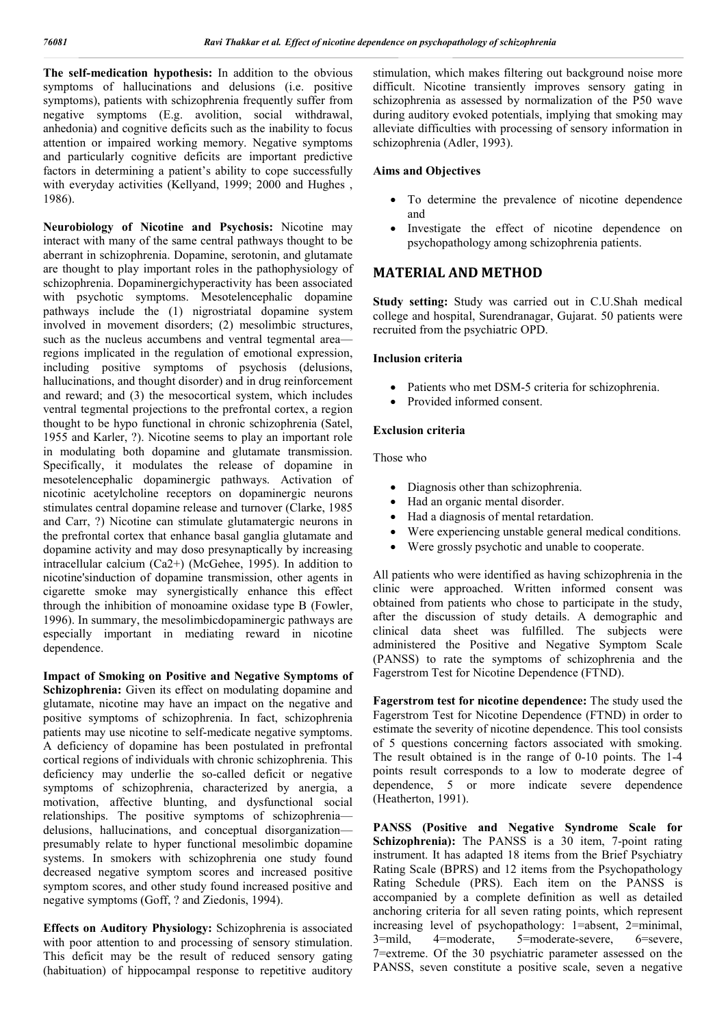**The self-medication hypothesis:** In addition to the obvious symptoms of hallucinations and delusions (i.e. positive symptoms), patients with schizophrenia frequently suffer from negative symptoms (E.g. avolition, social withdrawal, anhedonia) and cognitive deficits such as the inability to focus attention or impaired working memory. Negative symptoms and particularly cognitive deficits are important predictive factors in determining a patient's ability to cope successfully with everyday activities (Kellyand, 1999; 2000 and Hughes , 1986).

**Neurobiology of Nicotine and Psychosis:** Nicotine may interact with many of the same central pathways thought to be aberrant in schizophrenia. Dopamine, serotonin, and glutamate are thought to play important roles in the pathophysiology of schizophrenia. Dopaminergichyperactivity has been associated with psychotic symptoms. Mesotelencephalic dopamine pathways include the (1) nigrostriatal dopamine system involved in movement disorders; (2) mesolimbic structures, such as the nucleus accumbens and ventral tegmental area regions implicated in the regulation of emotional expression, including positive symptoms of psychosis (delusions, hallucinations, and thought disorder) and in drug reinforcement and reward; and (3) the mesocortical system, which includes ventral tegmental projections to the prefrontal cortex, a region thought to be hypo functional in chronic schizophrenia (Satel, 1955 and Karler, ?). Nicotine seems to play an important role in modulating both dopamine and glutamate transmission. Specifically, it modulates the release of dopamine in mesotelencephalic dopaminergic pathways. Activation of nicotinic acetylcholine receptors on dopaminergic neurons stimulates central dopamine release and turnover (Clarke, 1985 and Carr, ?) Nicotine can stimulate glutamatergic neurons in the prefrontal cortex that enhance basal ganglia glutamate and dopamine activity and may doso presynaptically by increasing intracellular calcium (Ca2+) (McGehee, 1995). In addition to nicotine'sinduction of dopamine transmission, other agents in cigarette smoke may synergistically enhance this effect through the inhibition of monoamine oxidase type B (Fowler, 1996). In summary, the mesolimbicdopaminergic pathways are especially important in mediating reward in nicotine dependence.

**Impact of Smoking on Positive and Negative Symptoms of Schizophrenia:** Given its effect on modulating dopamine and glutamate, nicotine may have an impact on the negative and positive symptoms of schizophrenia. In fact, schizophrenia patients may use nicotine to self-medicate negative symptoms. A deficiency of dopamine has been postulated in prefrontal cortical regions of individuals with chronic schizophrenia. This deficiency may underlie the so-called deficit or negative symptoms of schizophrenia, characterized by anergia, a motivation, affective blunting, and dysfunctional social relationships. The positive symptoms of schizophrenia delusions, hallucinations, and conceptual disorganization presumably relate to hyper functional mesolimbic dopamine systems. In smokers with schizophrenia one study found decreased negative symptom scores and increased positive symptom scores, and other study found increased positive and negative symptoms (Goff, ? and Ziedonis, 1994).

**Effects on Auditory Physiology:** Schizophrenia is associated with poor attention to and processing of sensory stimulation. This deficit may be the result of reduced sensory gating (habituation) of hippocampal response to repetitive auditory stimulation, which makes filtering out background noise more difficult. Nicotine transiently improves sensory gating in schizophrenia as assessed by normalization of the P50 wave during auditory evoked potentials, implying that smoking may alleviate difficulties with processing of sensory information in schizophrenia (Adler, 1993).

### **Aims and Objectives**

- To determine the prevalence of nicotine dependence and
- Investigate the effect of nicotine dependence on psychopathology among schizophrenia patients.

## **MATERIAL AND METHOD**

**Study setting:** Study was carried out in C.U.Shah medical college and hospital, Surendranagar, Gujarat. 50 patients were recruited from the psychiatric OPD.

#### **Inclusion criteria**

- Patients who met DSM-5 criteria for schizophrenia.
- Provided informed consent.

## **Exclusion criteria**

Those who

- Diagnosis other than schizophrenia.
- Had an organic mental disorder.
- Had a diagnosis of mental retardation.
- Were experiencing unstable general medical conditions.
- Were grossly psychotic and unable to cooperate.

All patients who were identified as having schizophrenia in the clinic were approached. Written informed consent was obtained from patients who chose to participate in the study, after the discussion of study details. A demographic and clinical data sheet was fulfilled. The subjects were administered the Positive and Negative Symptom Scale (PANSS) to rate the symptoms of schizophrenia and the Fagerstrom Test for Nicotine Dependence (FTND).

**Fagerstrom test for nicotine dependence:** The study used the Fagerstrom Test for Nicotine Dependence (FTND) in order to estimate the severity of nicotine dependence. This tool consists of 5 questions concerning factors associated with smoking. The result obtained is in the range of 0-10 points. The 1-4 points result corresponds to a low to moderate degree of dependence, 5 or more indicate severe dependence (Heatherton, 1991).

**PANSS (Positive and Negative Syndrome Scale for Schizophrenia):** The PANSS is a 30 item, 7-point rating instrument. It has adapted 18 items from the Brief Psychiatry Rating Scale (BPRS) and 12 items from the Psychopathology Rating Schedule (PRS). Each item on the PANSS is accompanied by a complete definition as well as detailed anchoring criteria for all seven rating points, which represent increasing level of psychopathology: 1=absent, 2=minimal, 3=mild, 4=moderate, 5=moderate-severe, 6=severe, 3=mild, 4=moderate, 5=moderate-severe, 6=severe, 7=extreme. Of the 30 psychiatric parameter assessed on the PANSS, seven constitute a positive scale, seven a negative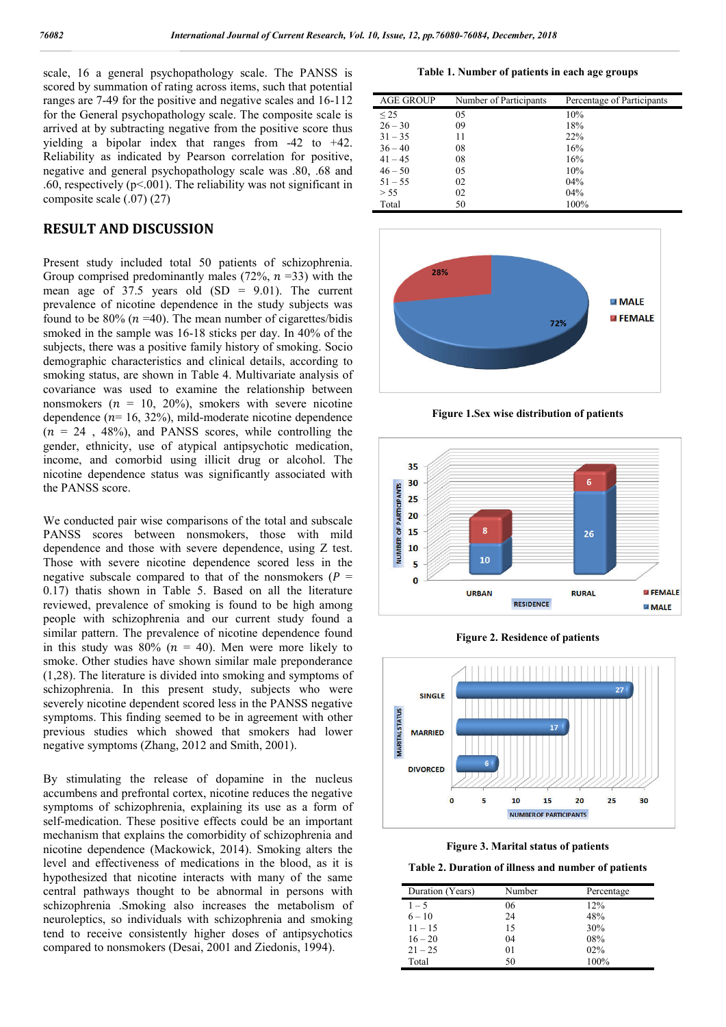scale, 16 a general psychopathology scale. The PANSS is scored by summation of rating across items, such that potential ranges are 7-49 for the positive and negative scales and 16-112 for the General psychopathology scale. The composite scale is arrived at by subtracting negative from the positive score thus yielding a bipolar index that ranges from -42 to +42. Reliability as indicated by Pearson correlation for positive, negative and general psychopathology scale was .80, .68 and .60, respectively ( $p < 0.01$ ). The reliability was not significant in composite scale (.07) (27)

### **RESULT AND DISCUSSION**

Present study included total 50 patients of schizophrenia. Group comprised predominantly males (72%,  $n = 33$ ) with the mean age of  $37.5$  years old  $(SD = 9.01)$ . The current prevalence of nicotine dependence in the study subjects was found to be  $80\%$  ( $n = 40$ ). The mean number of cigarettes/bidis smoked in the sample was 16-18 sticks per day. In 40% of the subjects, there was a positive family history of smoking. Socio demographic characteristics and clinical details, according to smoking status, are shown in Table 4. Multivariate analysis of covariance was used to examine the relationship between nonsmokers ( $n = 10, 20\%$ ), smokers with severe nicotine dependence  $(n= 16, 32\%)$ , mild-moderate nicotine dependence  $(n = 24, 48\%)$ , and PANSS scores, while controlling the gender, ethnicity, use of atypical antipsychotic medication, income, and comorbid using illicit drug or alcohol. The nicotine dependence status was significantly associated with the PANSS score.

We conducted pair wise comparisons of the total and subscale PANSS scores between nonsmokers, those with mild dependence and those with severe dependence, using Z test. Those with severe nicotine dependence scored less in the negative subscale compared to that of the nonsmokers ( $P =$ 0.17) thatis shown in Table 5. Based on all the literature reviewed, prevalence of smoking is found to be high among people with schizophrenia and our current study found a similar pattern. The prevalence of nicotine dependence found in this study was 80% ( $n = 40$ ). Men were more likely to smoke. Other studies have shown similar male preponderance (1,28). The literature is divided into smoking and symptoms of schizophrenia. In this present study, subjects who were severely nicotine dependent scored less in the PANSS negative symptoms. This finding seemed to be in agreement with other previous studies which showed that smokers had lower negative symptoms (Zhang, 2012 and Smith, 2001).

By stimulating the release of dopamine in the nucleus accumbens and prefrontal cortex, nicotine reduces the negative symptoms of schizophrenia, explaining its use as a form of self-medication. These positive effects could be an important mechanism that explains the comorbidity of schizophrenia and nicotine dependence (Mackowick, 2014). Smoking alters the level and effectiveness of medications in the blood, as it is hypothesized that nicotine interacts with many of the same central pathways thought to be abnormal in persons with schizophrenia .Smoking also increases the metabolism of neuroleptics, so individuals with schizophrenia and smoking tend to receive consistently higher doses of antipsychotics compared to nonsmokers (Desai, 2001 and Ziedonis, 1994).

**Table 1. Number of patients in each age groups**

| <b>AGE GROUP</b> | Number of Participants | Percentage of Participants |
|------------------|------------------------|----------------------------|
| $\leq$ 25        | 05                     | 10%                        |
| $26 - 30$        | 09                     | 18%                        |
| $31 - 35$        | 11                     | 22%                        |
| $36 - 40$        | 08                     | 16%                        |
| $41 - 45$        | 08                     | 16%                        |
| $46 - 50$        | 05                     | 10%                        |
| $51 - 55$        | 02                     | 04%                        |
| > 55             | 02                     | 04%                        |
| Total            | 50                     | 100%                       |



**Figure 1.Sex wise distribution of patients**



**Figure 2. Residence of patients**





**Table 2. Duration of illness and number of patients**

| Duration (Years) | Number         | Percentage |
|------------------|----------------|------------|
| $1 - 5$          | 06             | 12%        |
| $6 - 10$         | 24             | 48%        |
| $11 - 15$        | 15             | 30%        |
| $16 - 20$        | 04             | 08%        |
| $21 - 25$        | 0 <sub>1</sub> | $02\%$     |
| Total            | 50             | 100%       |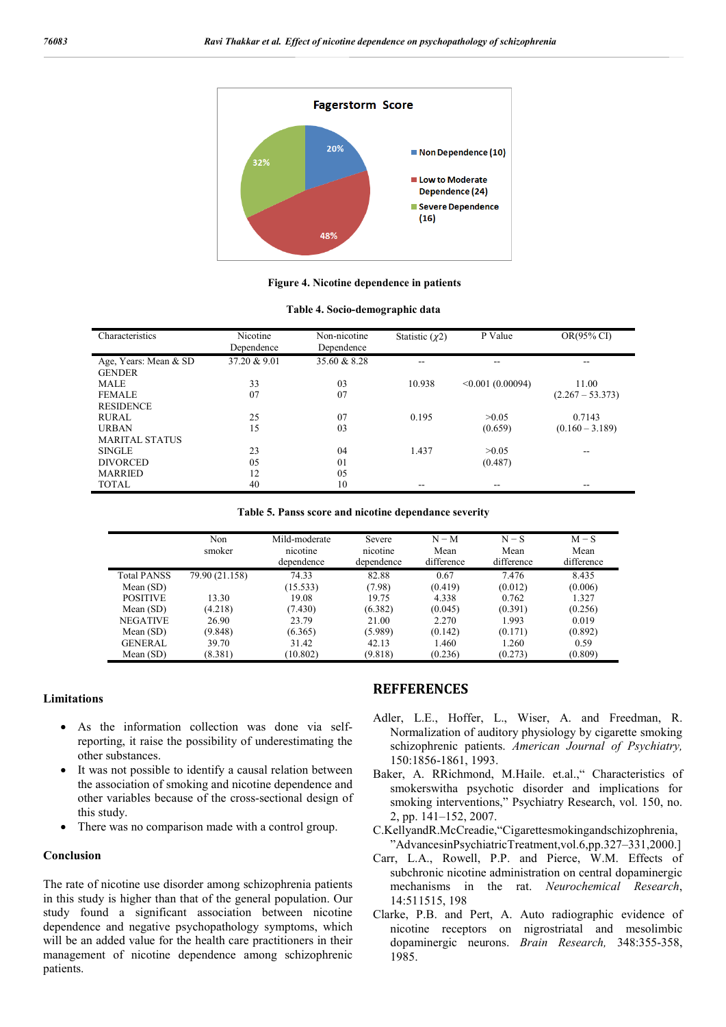

**Figure 4. Nicotine dependence in patients**

| Characteristics       | Nicotine<br>Dependence | Non-nicotine<br>Dependence | Statistic $(\chi 2)$ | P Value          | OR(95% CI)         |
|-----------------------|------------------------|----------------------------|----------------------|------------------|--------------------|
| Age, Years: Mean & SD | 37.20 & 9.01           | 35.60 & 8.28               |                      |                  |                    |
| <b>GENDER</b>         |                        |                            |                      |                  |                    |
| <b>MALE</b>           | 33                     | 03                         | 10.938               | < 0.001(0.00094) | 11.00              |
| <b>FEMALE</b>         | 07                     | 07                         |                      |                  | $(2.267 - 53.373)$ |
| <b>RESIDENCE</b>      |                        |                            |                      |                  |                    |
| RURAL                 | 25                     | 07                         | 0.195                | >0.05            | 0.7143             |
| <b>URBAN</b>          | 15                     | 03                         |                      | (0.659)          | $(0.160 - 3.189)$  |
| <b>MARITAL STATUS</b> |                        |                            |                      |                  |                    |
| <b>SINGLE</b>         | 23                     | 04                         | 1.437                | >0.05            |                    |
| <b>DIVORCED</b>       | 05                     | 01                         |                      | (0.487)          |                    |
| <b>MARRIED</b>        | 12                     | 05                         |                      |                  |                    |
| <b>TOTAL</b>          | 40                     | 10                         | --                   |                  |                    |

**Table 5. Panss score and nicotine dependance severity**

|                    | Non<br>smoker  | Mild-moderate<br>nicotine<br>dependence | Severe<br>nicotine<br>dependence | $N - M$<br>Mean<br>difference | $N-S$<br>Mean<br>difference | $M-S$<br>Mean<br>difference |
|--------------------|----------------|-----------------------------------------|----------------------------------|-------------------------------|-----------------------------|-----------------------------|
| <b>Total PANSS</b> | 79.90 (21.158) | 74.33                                   | 82.88                            | 0.67                          | 7.476                       | 8.435                       |
| Mean $(SD)$        |                | (15.533)                                | (7.98)                           | (0.419)                       | (0.012)                     | (0.006)                     |
| <b>POSITIVE</b>    | 13.30          | 19.08                                   | 19.75                            | 4.338                         | 0.762                       | 1.327                       |
| Mean $(SD)$        | (4.218)        | (7.430)                                 | (6.382)                          | (0.045)                       | (0.391)                     | (0.256)                     |
| <b>NEGATIVE</b>    | 26.90          | 23.79                                   | 21.00                            | 2.270                         | 1.993                       | 0.019                       |
| Mean $(SD)$        | (9.848)        | (6.365)                                 | (5.989)                          | (0.142)                       | (0.171)                     | (0.892)                     |
| <b>GENERAL</b>     | 39.70          | 31.42                                   | 42.13                            | 1.460                         | 1.260                       | 0.59                        |
| Mean $(SD)$        | (8.381)        | (10.802)                                | (9.818)                          | (0.236)                       | (0.273)                     | (0.809)                     |

#### **Limitations**

- As the information collection was done via selfreporting, it raise the possibility of underestimating the other substances.
- It was not possible to identify a causal relation between the association of smoking and nicotine dependence and other variables because of the cross-sectional design of this study.
- There was no comparison made with a control group.

#### **Conclusion**

The rate of nicotine use disorder among schizophrenia patients in this study is higher than that of the general population. Our study found a significant association between nicotine dependence and negative psychopathology symptoms, which will be an added value for the health care practitioners in their management of nicotine dependence among schizophrenic patients.

## **REFFERENCES**

- Adler, L.E., Hoffer, L., Wiser, A. and Freedman, R. Normalization of auditory physiology by cigarette smoking schizophrenic patients. *American Journal of Psychiatry,* 150:1856-1861, 1993.
- Baker, A. RRichmond, M.Haile. et.al.," Characteristics of smokerswitha psychotic disorder and implications for smoking interventions," Psychiatry Research, vol. 150, no. 2, pp. 141–152, 2007.
- C.KellyandR.McCreadie,"Cigarettesmokingandschizophrenia, "AdvancesinPsychiatricTreatment,vol.6,pp.327–331,2000.]
- Carr, L.A., Rowell, P.P. and Pierce, W.M. Effects of subchronic nicotine administration on central dopaminergic mechanisms in the rat. *Neurochemical Research*, 14:511515, 198
- Clarke, P.B. and Pert, A. Auto radiographic evidence of nicotine receptors on nigrostriatal and mesolimbic dopaminergic neurons. *Brain Research,* 348:355-358, 1985.